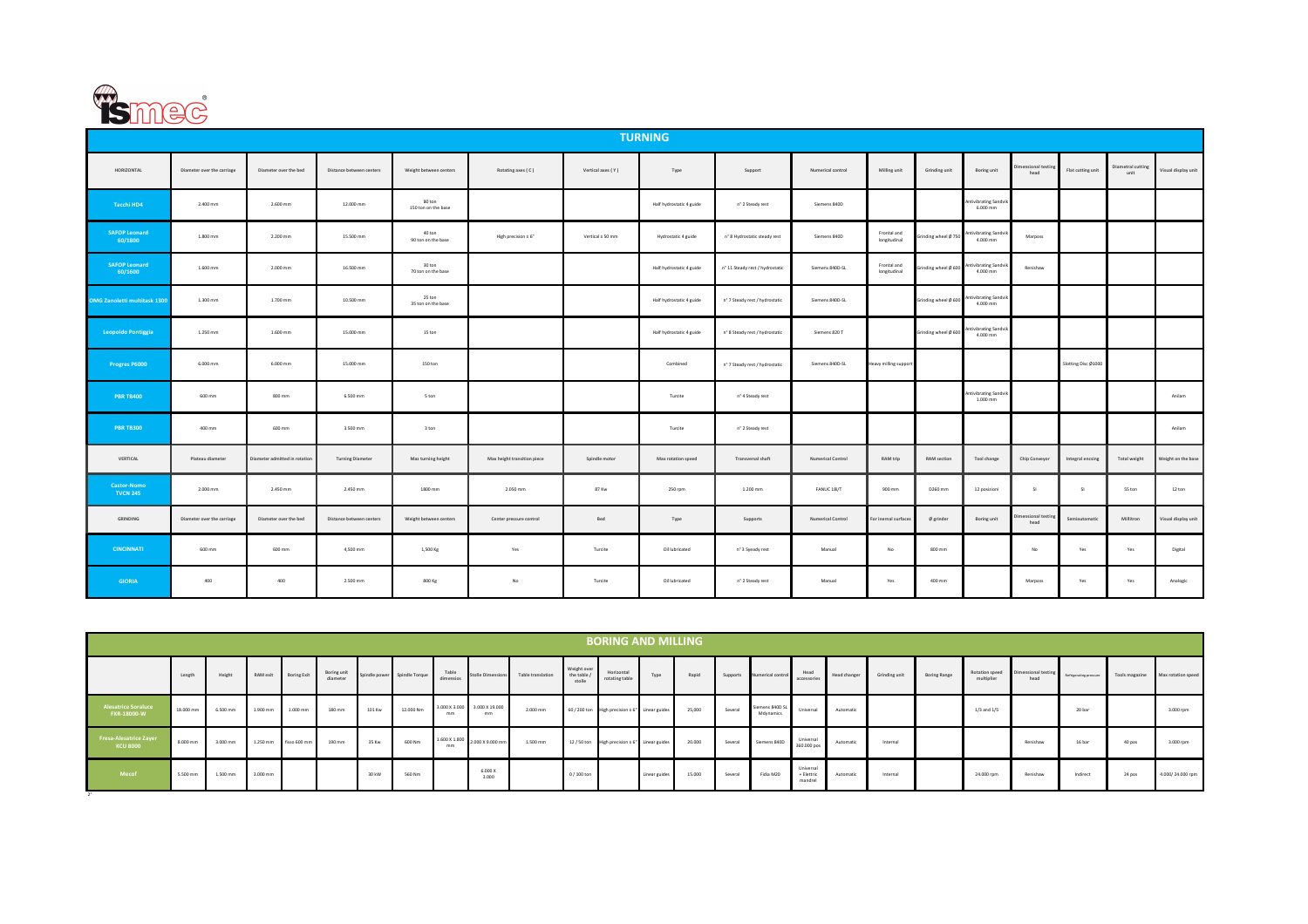

2°

|                                       |                            |                               |                          |                               |                             |                   | <b>TURNING</b>           |                                            |                   |                             |                      |                                            |                           |                     |                           |                     |
|---------------------------------------|----------------------------|-------------------------------|--------------------------|-------------------------------|-----------------------------|-------------------|--------------------------|--------------------------------------------|-------------------|-----------------------------|----------------------|--------------------------------------------|---------------------------|---------------------|---------------------------|---------------------|
| HORIZONTAL                            | Diameter over the carriage | Diameter over the bed         | Distance between centers | Weight between centers        | Rotating axes (C)           | Vertical axes (Y) | Type                     | Support                                    | Numerical control | Milling unit                | Grinding unit        | Boring unit                                | nensional testing<br>head | Flat cutting unit   | Diametral cutting<br>unit | Visual display unit |
| Tacchi HD4                            | 2.400 mm                   | 2.600 mm                      | 12.000 mm                | 80 ton<br>150 ton on the base |                             |                   | Half hydrostatic 4 guide | n° 2 Steady rest                           | Siemens 840D      |                             |                      | Antivibrating Sandvik<br>6.000 mm          |                           |                     |                           |                     |
| <b>SAFOP Leonard</b><br>60/1800       | 1.800 mm                   | 2.200 mm                      | 15.500 mm                | 40 ton<br>90 ton on the base  | High precision ± 6"         | Vertical ± 50 mm  | Hydrostatic 4 guide      | n° 8 Hydrostatic steady rest               | Siemens 840D      | Frontal and<br>longitudinal | Grinding wheel Ø 750 | Antivibrating Sandvik<br>4.000 mm          | Marposs                   |                     |                           |                     |
| <b>SAFOP Leonard</b><br>60/1600       | 1.600 mm                   | 2.000 mm                      | 16.500 mm                | 30 ton<br>70 ton on the base  |                             |                   | Half hydrostatic 4 guide | nº 11 Steady rest / hydrostatic            | Siemens 840D-SL   | Frontal and<br>longitudinal | irinding wheel Ø 600 | Antivibrating Sandv<br>4.000 mm            | Renishaw                  |                     |                           |                     |
| <b>OMG Zanoletti multitask 1300</b>   | 1.300 mm                   | 1.700 mm                      | 10.500 mm                | 25 ton<br>35 ton on the base  |                             |                   | Half hydrostatic 4 guide | n <sup>+</sup> 7 Steady rest / hydrostatic | Siemens 840D-SL   |                             | Grinding wheel Ø 600 | Antivibrating Sandvik<br>4.000 mm          |                           |                     |                           |                     |
| Leopoldo Pontiggia                    | 1.250 mm                   | 1.600 mm                      | 15.000 mm                | 15 ton                        |                             |                   | Half hydrostatic 4 guide | n <sup>*</sup> 8 Steady rest / hydrostatic | Siemens 820 T     |                             | Grinding wheel Ø 600 | ntivibrating Sandvik<br>4.000 mm           |                           |                     |                           |                     |
| Progres P6000                         | 6.000 mm                   | 6.000 mm                      | 15.000 mm                | 150 ton                       |                             |                   | Combined                 | n <sup>+</sup> 7 Steady rest / hydrostatic | Siemens 840D-SL   | Heavy milling support       |                      |                                            |                           | Slotting Disc Ø1000 |                           |                     |
| <b>PBR TB400</b>                      | 600 mm                     | 800 mm                        | 6.500 mm                 | 5 ton                         |                             |                   | Turcite                  | n° 4 Steady rest                           |                   |                             |                      | <b>Antivibrating Sandvik</b><br>$1.000$ mm |                           |                     |                           | Anilam              |
| <b>PBR TB300</b>                      | 400 mm                     | 600 mm                        | 3.500 mm                 | 3 ton                         |                             |                   | Turcite                  | n° 2 Steady rest                           |                   |                             |                      |                                            |                           |                     |                           | Anilam              |
| VERTICAL                              | Plateau diameter           | Diameter admitted in rotation | <b>Turning Diameter</b>  | Maz turning height            | Max height transition piece | Spindle motor     | Max rotation speed       | Transversal shaft                          | Numerical Control | RAM trip                    | RAM section          | Tool change                                | Chip Conveyor             | Integral encsing    | Total weight              | Weight on the base  |
| <b>Castor-Nomo</b><br><b>TVCN 245</b> | 2.000 mm                   | 2.450 mm                      | 2.450 mm                 | 1800 mm                       | 2.050 mm                    | 87 Kw             | 250 rpm                  | 1.200 mm                                   | FANUC 18i/T       | 900 mm                      | D260 mm              | 12 posizioni                               | SI <sub>1</sub>           | SI <sub>1</sub>     | 55 ton                    | 12 ton              |
| GRINDING                              | Diameter over the carriage | Diameter over the bed         | Distance between centers | Weight between centers        | Center pressure control     | Bed               | Type                     | Supports                                   | Numerical Control | or inernal surface          | $Ø$ grinder          | Boring unit                                | ensional testin<br>head   | Semiautomatic       | Millitron                 | Visual display unit |
| <b>CINCINNATI</b>                     | $600\,\mathrm{mm}$         | 600 mm                        | 4,500 mm                 | 1,500 Kg                      | Yes                         | Turcite           | Oil lubricated           | n° 3 Syeady rest                           | Manual            | No                          | 800 mm               |                                            | No                        | Yes                 | Yes                       | Digital             |
| <b>GIORIA</b>                         | 400                        | 400                           | 2.500 mm                 | 800 Kg                        | No                          | Turcite           | Oil lubricated           | n° 2 Steady rest                           | Manual            | Yes                         | 400 mm               |                                            | Marposs                   | Yes                 | Yes                       | Analogic            |

|                                           | <b>BORING AND MILLING</b> |                      |          |              |                         |        |                              |                    |                                              |                   |                                     |                                                |               |        |          |                              |                                    |              |               |                     |                              |                             |                        |                |                    |
|-------------------------------------------|---------------------------|----------------------|----------|--------------|-------------------------|--------|------------------------------|--------------------|----------------------------------------------|-------------------|-------------------------------------|------------------------------------------------|---------------|--------|----------|------------------------------|------------------------------------|--------------|---------------|---------------------|------------------------------|-----------------------------|------------------------|----------------|--------------------|
|                                           | Length                    | Height               | RAM exit | Boring Exit  | Boring unit<br>diameter |        | Spindle power Spindle Torque | Table<br>dimensios | <b>Stolle Dimensions</b>                     | Table translation | $Weight over the table f$<br>stolle | Horizonta<br>rotating table                    | Type          | Rapid  | Supports | Numerical control            | Head<br>accessories                | Head changer | Grinding unit | <b>Boring Range</b> | Rotation speed<br>multiplier | Dimensional testing<br>head | Refrigerating pressure | Tools magazine | Max rotation speed |
| <b>Alesatrice Soraluce</b><br>FXR-18000-W | 18.000 mn                 | 6.500 mm             | 1.900 mm | $1.000$ mm   | 180 mm                  | 101 Kw | 12.000 Nm                    | mm                 | 3.000 X 3.000 3.000 X 19.000<br>mm           | 2.000 mm          |                                     | 60 / 200 ton High precision ± 6" Linear guides |               | 25,000 | Several  | Siemens 840D SL<br>Mdynamics | Universal                          | Automatic    |               |                     | $1/3$ and $1/5$              |                             | 20 bar                 |                | 3.000 rpm          |
| Fresa-Alesatrice Zayer<br><b>KCU 8000</b> | 8.000 mm                  | $3.000 \, \text{mm}$ | 1.250 mm | fisso 600 mm | 190 mm                  | 35 Kw  | 600 Nm                       | mm                 | $1.600 \times 1.800$ 2.000 $\times$ 9.000 mm | 1.500 mm          |                                     | 12 / 50 ton High precision ± 6" Linear guides  |               | 20.000 | Several  | Siemens 840D                 | Universal<br>360.000 pos           | Automatic    | Internal      |                     |                              | Renishaw                    | 16 bar                 | 40 pos         | 3.000 rpm          |
| Mecof                                     | 5.500 mm                  | 1.500 mm             | 3.000 mm |              |                         | 30 kW  | 560 Nm                       |                    | 6.000 X<br>3.000                             |                   | $0/100$ ton                         |                                                | Linear guides | 15.000 | Several  | Fidia M20                    | Universal<br>+ Elettric<br>mandrel | Automatic    | Internal      |                     | 24.000 rpm                   | Renishaw                    | Indirect               | 24 pos         | 4.000/24.000 rpm   |